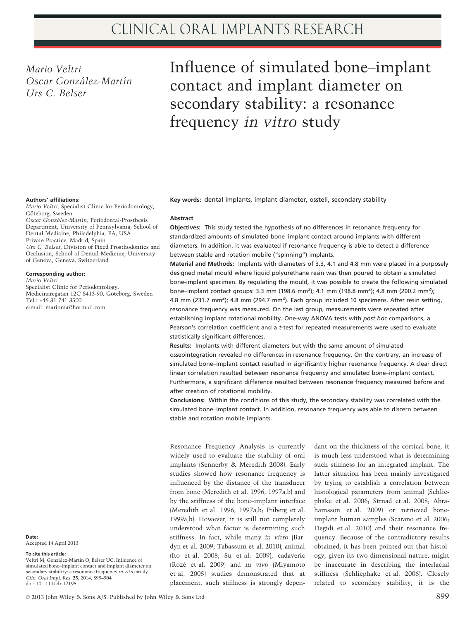Mario Veltri Oscar González-Martín Urs C. Belser

# Influence of simulated bone–implant contact and implant diameter on secondary stability: a resonance frequency in vitro study

#### Authors' affiliations:

Mario Veltri, Specialist Clinic for Periodontology, Göteborg, Sweden Oscar González-Martín, Periodontal-Prosthesis Department, University of Pennsylvania, School of Dental Medicine, Philadelphia, PA, USA Private Practice, Madrid, Spain Urs C. Belser, Division of Fixed Prosthodontics and Occlusion, School of Dental Medicine, University of Geneva, Geneva, Switzerland

### Corresponding author:

Mario Veltri Specialist Clinic for Periodontology, Medicinaregatan 12C S413-90, Göteborg, Sweden Tel.: +46 31 741 3500 e-mail: marioma@hotmail.com

Date: Accepted 14 April 2013

To cite this article:

Veltri M, González-Martín O, Belser UC. Influence of simulated bone–implant contact and implant diameter on secondary stability: a resonance frequency in vitro study. Clin. Oral Impl. Res. 25, 2014, 899–904 doi: 10.1111/clr.12195

Key words: dental implants, implant diameter, osstell, secondary stability

## Abstract

Objectives: This study tested the hypothesis of no differences in resonance frequency for standardized amounts of simulated bone–implant contact around implants with different diameters. In addition, it was evaluated if resonance frequency is able to detect a difference between stable and rotation mobile ("spinning") implants.

Material and Methods: Implants with diameters of 3.3, 4.1 and 4.8 mm were placed in a purposely designed metal mould where liquid polyurethane resin was then poured to obtain a simulated bone-implant specimen. By regulating the mould, it was possible to create the following simulated bone–implant contact groups: 3.3 mm (198.6 mm<sup>2</sup>); 4.1 mm (198.8 mm<sup>2</sup>); 4.8 mm (200.2 mm<sup>2</sup>); 4.8 mm (231.7 mm<sup>2</sup>); 4.8 mm (294.7 mm<sup>2</sup>). Each group included 10 specimens. After resin setting, resonance frequency was measured. On the last group, measurements were repeated after establishing implant rotational mobility. One-way ANOVA tests with post hoc comparisons, a Pearson's correlation coefficient and a t-test for repeated measurements were used to evaluate statistically significant differences.

Results: Implants with different diameters but with the same amount of simulated osseointegration revealed no differences in resonance frequency. On the contrary, an increase of simulated bone–implant contact resulted in significantly higher resonance frequency. A clear direct linear correlation resulted between resonance frequency and simulated bone–implant contact. Furthermore, a significant difference resulted between resonance frequency measured before and after creation of rotational mobility.

Conclusions: Within the conditions of this study, the secondary stability was correlated with the simulated bone–implant contact. In addition, resonance frequency was able to discern between stable and rotation mobile implants.

Resonance Frequency Analysis is currently widely used to evaluate the stability of oral implants (Sennerby & Meredith 2008). Early studies showed how resonance frequency is influenced by the distance of the transducer from bone (Meredith et al. 1996, 1997a,b) and by the stiffness of the bone–implant interface (Meredith et al. 1996, 1997a,b; Friberg et al. 1999a,b). However, it is still not completely understood what factor is determining such stiffness. In fact, while many in vitro (Bardyn et al. 2009; Tabassum et al. 2010), animal (Ito et al. 2008; Su et al. 2009), cadaveric (Roze et al. 2009) and in vivo (Miyamoto et al. 2005) studies demonstrated that at placement, such stiffness is strongly depen-

dant on the thickness of the cortical bone, it is much less understood what is determining such stiffness for an integrated implant. The latter situation has been mainly investigated by trying to establish a correlation between histological parameters from animal (Schliephake et al. 2006; Strnad et al. 2008; Abrahamsson et al. 2009) or retrieved boneimplant human samples (Scarano et al. 2006; Degidi et al. 2010) and their resonance frequency. Because of the contradictory results obtained, it has been pointed out that histology, given its two dimensional nature, might be inaccurate in describing the interfacial stiffness (Schliephake et al. 2006). Closely related to secondary stability, it is the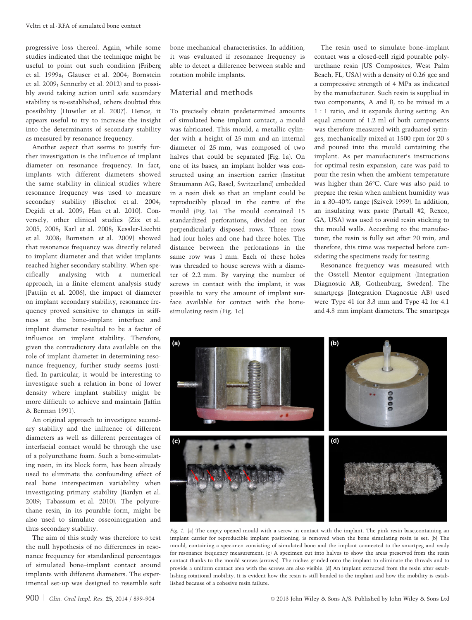progressive loss thereof. Again, while some studies indicated that the technique might be useful to point out such condition (Friberg et al. 1999a; Glauser et al. 2004; Bornstein et al. 2009; Sennerby et al. 2012) and to possibly avoid taking action until safe secondary stability is re-established, others doubted this possibility (Huwiler et al. 2007). Hence, it appears useful to try to increase the insight into the determinants of secondary stability as measured by resonance frequency.

Another aspect that seems to justify further investigation is the influence of implant diameter on resonance frequency. In fact, implants with different diameters showed the same stability in clinical studies where resonance frequency was used to measure secondary stability (Bischof et al. 2004; Degidi et al. 2009; Han et al. 2010). Conversely, other clinical studies (Zix et al. 2005, 2008; Karl et al. 2008; Kessler-Liechti et al. 2008; Bornstein et al. 2009) showed that resonance frequency was directly related to implant diameter and that wider implants reached higher secondary stability. When specifically analysing with a numerical approach, in a finite element analysis study (Pattijn et al. 2006), the impact of diameter on implant secondary stability, resonance frequency proved sensitive to changes in stiffness at the bone–implant interface and implant diameter resulted to be a factor of influence on implant stability. Therefore, given the contradictory data available on the role of implant diameter in determining resonance frequency, further study seems justified. In particular, it would be interesting to investigate such a relation in bone of lower density where implant stability might be more difficult to achieve and maintain (Jaffin & Berman 1991).

An original approach to investigate secondary stability and the influence of different diameters as well as different percentages of interfacial contact would be through the use of a polyurethane foam. Such a bone-simulating resin, in its block form, has been already used to eliminate the confounding effect of real bone interspecimen variability when investigating primary stability (Bardyn et al. 2009; Tabassum et al. 2010). The polyurethane resin, in its pourable form, might be also used to simulate osseointegration and thus secondary stability.

The aim of this study was therefore to test the null hypothesis of no differences in resonance frequency for standardized percentages of simulated bone–implant contact around implants with different diameters. The experimental set-up was designed to resemble soft bone mechanical characteristics. In addition, it was evaluated if resonance frequency is able to detect a difference between stable and rotation mobile implants.

## Material and methods

To precisely obtain predetermined amounts of simulated bone–implant contact, a mould was fabricated. This mould, a metallic cylinder with a height of 25 mm and an internal diameter of 25 mm, was composed of two halves that could be separated (Fig. 1a). On one of its bases, an implant holder was constructed using an insertion carrier (Institut Straumann AG, Basel, Switzerland) embedded in a resin disk so that an implant could be reproducibly placed in the centre of the mould (Fig. 1a). The mould contained 15 standardized perforations, divided on four perpendicularly disposed rows. Three rows had four holes and one had three holes. The distance between the perforations in the same row was 1 mm. Each of these holes was threaded to house screws with a diameter of 2.2 mm. By varying the number of screws in contact with the implant, it was possible to vary the amount of implant surface available for contact with the bonesimulating resin (Fig. 1c).

The resin used to simulate bone–implant contact was a closed-cell rigid pourable polyurethane resin (US Composites, West Palm Beach, FL, USA) with a density of 0.26 gcc and a compressive strength of 4 MPa as indicated by the manufacturer. Such resin is supplied in two components, A and B, to be mixed in a 1 : 1 ratio, and it expands during setting. An equal amount of 1.2 ml of both components was therefore measured with graduated syringes, mechanically mixed at 1500 rpm for 20 s and poured into the mould containing the implant. As per manufacturer's instructions for optimal resin expansion, care was paid to pour the resin when the ambient temperature was higher than 26°C. Care was also paid to prepare the resin when ambient humidity was in a 30–40% range (Szivek 1999). In addition, an insulating wax paste (Partall #2, Rexco, GA, USA) was used to avoid resin sticking to the mould walls. According to the manufacturer, the resin is fully set after 20 min, and therefore, this time was respected before considering the specimens ready for testing.

Resonance frequency was measured with the Osstell Mentor equipment (Integration Diagnostic AB, Gothenburg, Sweden). The smartpegs (Integration Diagnostic AB) used were Type 41 for 3.3 mm and Type 42 for 4.1 and 4.8 mm implant diameters. The smartpegs



Fig. 1. (a) The empty opened mould with a screw in contact with the implant. The pink resin base, containing an implant carrier for reproducible implant positioning, is removed when the bone simulating resin is set. (b) The mould, containing a specimen consisting of simulated bone and the implant connected to the smartpeg and ready for resonance frequency measurement. (c) A specimen cut into halves to show the areas preserved from the resin contact thanks to the mould screws (arrows). The niches grinded onto the implant to eliminate the threads and to provide a uniform contact area with the screws are also visible. (d) An implant extracted from the resin after establishing rotational mobility. It is evident how the resin is still bonded to the implant and how the mobility is established because of a cohesive resin failure.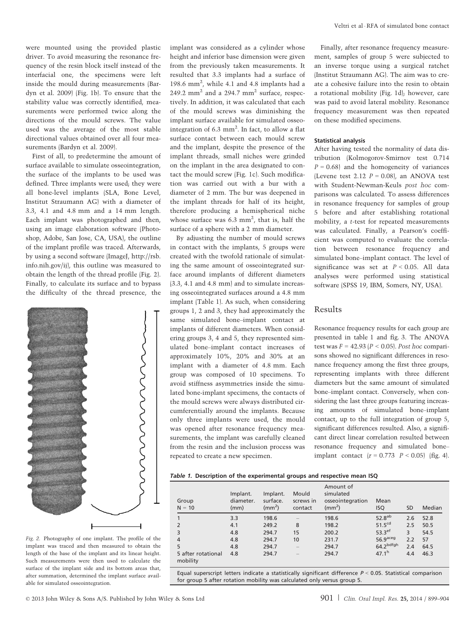were mounted using the provided plastic driver. To avoid measuring the resonance frequency of the resin block itself instead of the interfacial one, the specimens were left inside the mould during measurements (Bardyn et al. 2009) (Fig. 1b). To ensure that the stability value was correctly identified, measurements were performed twice along the directions of the mould screws. The value used was the average of the most stable directional values obtained over all four measurements (Bardyn et al. 2009).

First of all, to predetermine the amount of surface available to simulate osseointegration, the surface of the implants to be used was defined. Three implants were used; they were all bone-level implants (SLA, Bone Level, Institut Straumann AG) with a diameter of 3.3, 4.1 and 4.8 mm and a 14 mm length. Each implant was photographed and then, using an image elaboration software (Photoshop, Adobe, San Jose, CA, USA), the outline of the implant profile was traced. Afterwards, by using a second software (ImageJ, http://rsb. info.nih.gov/ij), this outline was measured to obtain the length of the thread profile (Fig. 2). Finally, to calculate its surface and to bypass the difficulty of the thread presence, the



Fig. 2. Photography of one implant. The profile of the implant was traced and then measured to obtain the length of the base of the implant and its linear height. Such measurements were then used to calculate the surface of the implant side and its bottom areas that, after summation, determined the implant surface available for simulated osseointegration.

implant was considered as a cylinder whose height and inferior base dimension were given from the previously taken measurements. It resulted that 3.3 implants had a surface of 198.6 mm2 , while 4.1 and 4.8 implants had a 249.2 mm<sup>2</sup> and a 294.7 mm<sup>2</sup> surface, respectively. In addition, it was calculated that each of the mould screws was diminishing the implant surface available for simulated osseointegration of 6.3  $mm<sup>2</sup>$ . In fact, to allow a flat surface contact between each mould screw and the implant, despite the presence of the implant threads, small niches were grinded on the implant in the area designated to contact the mould screw (Fig. 1c). Such modification was carried out with a bur with a diameter of 2 mm. The bur was deepened in the implant threads for half of its height, therefore producing a hemispherical niche whose surface was  $6.3 \text{ mm}^2$ , that is, half the surface of a sphere with a 2 mm diameter.

By adjusting the number of mould screws in contact with the implants, 5 groups were created with the twofold rationale of simulating the same amount of osseointegrated surface around implants of different diameters (3.3, 4.1 and 4.8 mm) and to simulate increasing osseointegrated surfaces around a 4.8 mm implant (Table 1). As such, when considering groups 1, 2 and 3, they had approximately the same simulated bone–implant contact at implants of different diameters. When considering groups 3, 4 and 5, they represented simulated bone–implant contact increases of approximately 10%, 20% and 30% at an implant with a diameter of 4.8 mm. Each group was composed of 10 specimens. To avoid stiffness asymmetries inside the simulated bone-implant specimens, the contacts of the mould screws were always distributed circumferentially around the implants. Because only three implants were used, the mould was opened after resonance frequency measurements, the implant was carefully cleaned from the resin and the inclusion process was repeated to create a new specimen.

Finally, after resonance frequency measurement, samples of group 5 were subjected to an inverse torque using a surgical ratchet (Institut Straumann AG). The aim was to create a cohesive failure into the resin to obtain a rotational mobility (Fig. 1d); however, care was paid to avoid lateral mobility. Resonance frequency measurement was then repeated on these modified specimens.

#### Statistical analysis

After having tested the normality of data distribution (Kolmogorov-Smirnov test 0.714  $P = 0.68$  and the homogeneity of variances (Levene test 2.12  $P = 0.08$ ), an ANOVA test with Student-Newman-Keuls post hoc comparisons was calculated. To assess differences in resonance frequency for samples of group 5 before and after establishing rotational mobility, a t-test for repeated measurements was calculated. Finally, a Pearson's coefficient was computed to evaluate the correlation between resonance frequency and simulated bone–implant contact. The level of significance was set at  $P < 0.05$ . All data analyses were performed using statistical software (SPSS 19, IBM, Somers, NY, USA).

## Results

Resonance frequency results for each group are presented in table 1 and fig. 3. The ANOVA test was  $F = 42.93 \ (P \le 0.05)$ . Post hoc comparisons showed no significant differences in resonance frequency among the first three groups, representing implants with three different diameters but the same amount of simulated bone–implant contact. Conversely, when considering the last three groups featuring increasing amounts of simulated bone–implant contact, up to the full integration of group 5, significant differences resulted. Also, a significant direct linear correlation resulted between resonance frequency and simulated bone– implant contact  $(r = 0.773 \, P < 0.05)$  (fig. 4).

### Table 1. Description of the experimental groups and respective mean ISQ

| Group<br>$N = 10$              | Implant.<br>diameter.<br>(mm) | Implant.<br>surface.<br>$\rm (mm^2)$ | Mould<br>screws in<br>contact | Amount of<br>simulated<br>osseointegration<br>$\rm (mm^2)$ | Mean<br><b>ISQ</b>     | <b>SD</b> | Median |
|--------------------------------|-------------------------------|--------------------------------------|-------------------------------|------------------------------------------------------------|------------------------|-----------|--------|
| $\mathbf{1}$                   | 3.3                           | 198.6                                |                               | 198.6                                                      | 52.8 <sup>ab</sup>     | 2.6       | 52.8   |
| 2                              | 4.1                           | 249.2                                | 8                             | 198.2                                                      | 51.5 <sup>cd</sup>     | 2.5       | 50.5   |
| 3                              | 4.8                           | 294.7                                | 15                            | 200.2                                                      | $53.3$ <sup>ef</sup>   | 3         | 54.5   |
| $\overline{4}$                 | 4.8                           | 294.7                                | 10                            | 231.7                                                      | $56.9$ <sup>aceg</sup> | 2.2       | 57     |
| 5                              | 4.8                           | 294.7                                |                               | 294.7                                                      | 64.2 <sup>bdfgh</sup>  | 2.4       | 64.5   |
| 5 after rotational<br>mobility | 4.8                           | 294.7                                |                               | 294.7                                                      | 47.1 <sup>h</sup>      | 4.4       | 46.3   |

Equal superscript letters indicate a statistically significant difference  $P < 0.05$ . Statistical comparison for group 5 after rotation mobility was calculated only versus group 5.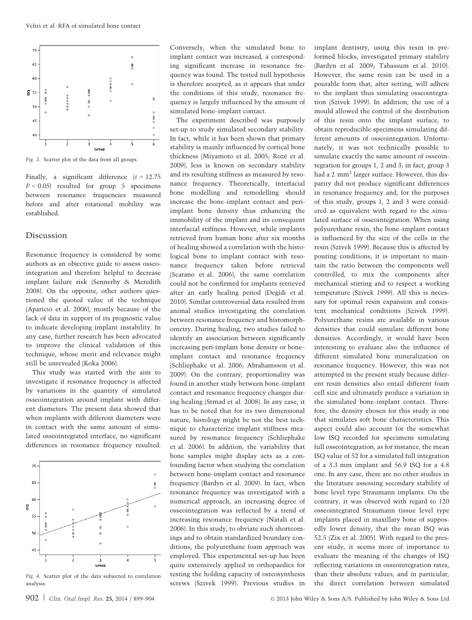

Fig. 3. Scatter plot of the data from all groups.

Finally, a significant difference  $(t = 12.75$  $P \le 0.05$  resulted for group 5 specimens between resonance frequencies measured before and after rotational mobility was established.

## Discussion

Resonance frequency is considered by some authors as an objective guide to assess osseointegration and therefore helpful to decrease implant failure risk (Sennerby & Meredith 2008). On the opposite, other authors questioned the quoted value of the technique (Aparicio et al. 2006), mostly because of the lack of data in support of its prognostic value to indicate developing implant instability. In any case, further research has been advocated to improve the clinical validation of this technique, whose merit and relevance might still be unrevealed (Koka 2006).

This study was started with the aim to investigate if resonance frequency is affected by variations in the quantity of simulated osseointegration around implant with different diameters. The present data showed that when implants with different diameters were in contact with the same amount of simulated osseointegrated interface, no significant differences in resonance frequency resulted.



Fig. 4. Scatter plot of the data subjected to correlation analysis.

Conversely, when the simulated bone to implant contact was increased, a corresponding significant increase in resonance frequency was found. The tested null hypothesis is therefore accepted, as it appears that under the conditions of this study, resonance frequency is largely influenced by the amount of simulated bone–implant contact.

The experiment described was purposely set-up to study simulated secondary stability. In fact, while it has been shown that primary stability is mainly influenced by cortical bone thickness (Miyamoto et al. 2005; Rozé et al. 2009), less is known on secondary stability and its resulting stiffness as measured by resonance frequency. Theoretically, interfacial bone modelling and remodelling should increase the bone–implant contact and periimplant bone density thus enhancing the immobility of the implant and its consequent interfacial stiffness. However, while implants retrieved from human bone after six months of healing showed a correlation with the histological bone to implant contact with resonance frequency taken before retrieval (Scarano et al. 2006), the same correlation could not be confirmed for implants retrieved after an early healing period (Degidi et al. 2010). Similar controversial data resulted from animal studies investigating the correlation between resonance frequency and histomorphometry. During healing, two studies failed to identify an association between significantly increasing peri-implant bone density or bone– implant contact and resonance frequency (Schliephake et al. 2006; Abrahamsson et al. 2009). On the contrary, proportionality was found in another study between bone–implant contact and resonance frequency changes during healing (Strnad et al. 2008). In any case, it has to be noted that for its two dimensional nature, histology might be not the best technique to characterize implant stiffness measured by resonance frequency (Schliephake et al. 2006). In addition, the variability that bone samples might display acts as a confounding factor when studying the correlation between bone–implant contact and resonance frequency (Bardyn et al. 2009). In fact, when resonance frequency was investigated with a numerical approach, an increasing degree of osseointegration was reflected by a trend of increasing resonance frequency (Natali et al. 2006). In this study, to obviate such shortcomings and to obtain standardized boundary conditions, the polyurethane foam approach was employed. This experimental set-up has been quite extensively applied in orthopaedics for testing the holding capacity of osteosynthesis screws (Szivek 1999). Previous studies in

implant dentistry, using this resin in preformed blocks, investigated primary stability (Bardyn et al. 2009; Tabassum et al. 2010). However, the same resin can be used in a pourable form that, after setting, will adhere to the implant thus simulating osseointegration (Szivek 1999). In addition, the use of a mould allowed the control of the distribution of this resin onto the implant surface, to obtain reproducible specimens simulating different amounts of osseointegration. Unfortunately, it was not technically possible to simulate exactly the same amount of osseointegration for groups 1, 2 and 3; in fact, group 3 had a 2 mm<sup>2</sup> larger surface. However, this disparity did not produce significant differences in resonance frequency and, for the purposes of this study, groups 1, 2 and 3 were considered as equivalent with regard to the simulated surface of osseointegration. When using polyurethane resin, the bone–implant contact is influenced by the size of the cells in the resin (Szivek 1999). Because this is affected by pouring conditions, it is important to maintain the ratio between the components well controlled, to mix the components after mechanical stirring and to respect a working temperature (Szivek 1999). All this is necessary for optimal resin expansion and consistent mechanical conditions (Szivek 1999). Polyurethane resins are available in various densities that could simulate different bone densities. Accordingly, it would have been interesting to evaluate also the influence of different simulated bone mineralization on resonance frequency. However, this was not attempted in the present study because different resin densities also entail different foam cell size and ultimately produce a variation in the simulated bone–implant contact. Therefore, the density chosen for this study is one that simulates soft bone characteristics. This aspect could also account for the somewhat low ISQ recorded for specimens simulating full osseointegration, as for instance, the mean ISQ value of 52 for a simulated full integration of a 3.3 mm implant and 56.9 ISQ for a 4.8 one. In any case, there are no other studies in the literature assessing secondary stability of bone level type Straumann implants. On the contrary, it was observed with regard to 120 osseointegrated Straumann tissue level type implants placed in maxillary bone of supposedly lower density, that the mean ISQ was 52.5 (Zix et al. 2005). With regard to the present study, it seems more of importance to evaluate the meaning of the changes of ISQ reflecting variations in osseointegration rates, than their absolute values, and in particular, the direct correlation between simulated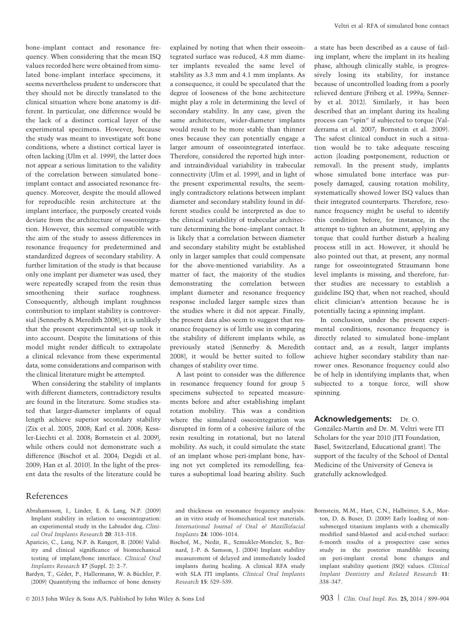bone–implant contact and resonance frequency. When considering that the mean ISQ values recorded here were obtained from simulated bone–implant interface specimens, it seems nevertheless prudent to underscore that they should not be directly translated to the clinical situation where bone anatomy is different. In particular, one difference would be the lack of a distinct cortical layer of the experimental specimens. However, because the study was meant to investigate soft bone conditions, where a distinct cortical layer is often lacking (Ulm et al. 1999), the latter does not appear a serious limitation to the validity of the correlation between simulated bone– implant contact and associated resonance frequency. Moreover, despite the mould allowed for reproducible resin architecture at the implant interface, the purposely created voids deviate from the architecture of osseointegration. However, this seemed compatible with the aim of the study to assess differences in resonance frequency for predetermined and standardized degrees of secondary stability. A further limitation of the study is that because only one implant per diameter was used, they were repeatedly scraped from the resin thus smoothening their surface roughness. Consequently, although implant roughness contribution to implant stability is controversial (Sennerby & Meredith 2008), it is unlikely that the present experimental set-up took it into account. Despite the limitations of this model might render difficult to extrapolate a clinical relevance from these experimental data, some considerations and comparison with the clinical literature might be attempted.

When considering the stability of implants with different diameters, contradictory results are found in the literature. Some studies stated that larger-diameter implants of equal length achieve superior secondary stability (Zix et al. 2005, 2008; Karl et al. 2008; Kessler-Liechti et al. 2008; Bornstein et al. 2009), while others could not demonstrate such a difference (Bischof et al. 2004; Degidi et al. 2009; Han et al. 2010). In the light of the present data the results of the literature could be explained by noting that when their osseointegrated surface was reduced, 4.8 mm diameter implants revealed the same level of stability as 3.3 mm and 4.1 mm implants. As a consequence, it could be speculated that the degree of looseness of the bone architecture might play a role in determining the level of secondary stability. In any case, given the same architecture, wider-diameter implants would result to be more stable than thinner ones because they can potentially engage a larger amount of osseointegrated interface. Therefore, considered the reported high interand intraindividual variability in trabecular connectivity (Ulm et al. 1999), and in light of the present experimental results, the seemingly contradictory relations between implant diameter and secondary stability found in different studies could be interpreted as due to the clinical variability of trabecular architecture determining the bone–implant contact. It is likely that a correlation between diameter and secondary stability might be established only in larger samples that could compensate for the above-mentioned variability. As a matter of fact, the majority of the studies demonstrating the correlation between implant diameter and resonance frequency response included larger sample sizes than the studies where it did not appear. Finally, the present data also seem to suggest that resonance frequency is of little use in comparing the stability of different implants while, as previously stated (Sennerby & Meredith 2008), it would be better suited to follow changes of stability over time.

A last point to consider was the difference in resonance frequency found for group 5 specimens subjected to repeated measurements before and after establishing implant rotation mobility. This was a condition where the simulated osseointegration was disrupted in form of a cohesive failure of the resin resulting in rotational, but no lateral mobility. As such, it could simulate the state of an implant whose peri-implant bone, having not yet completed its remodelling, features a suboptimal load bearing ability. Such

a state has been described as a cause of failing implant, where the implant in its healing phase, although clinically stable, is progressively losing its stability, for instance because of uncontrolled loading from a poorly relieved denture (Friberg et al. 1999a; Sennerby et al. 2012). Similarly, it has been described that an implant during its healing process can "spin" if subjected to torque (Valderrama et al. 2007; Bornstein et al. 2009). The safest clinical conduct in such a situation would be to take adequate rescuing action (loading postponement, reduction or removal). In the present study, implants whose simulated bone interface was purposely damaged, causing rotation mobility, systematically showed lower ISQ values than their integrated counterparts. Therefore, resonance frequency might be useful to identify this condition before, for instance, in the attempt to tighten an abutment, applying any torque that could further disturb a healing process still in act. However, it should be also pointed out that, at present, any normal range for osseointegrated Straumann bone level implants is missing, and therefore, further studies are necessary to establish a guideline ISQ that, when not reached, should elicit clinician's attention because he is potentially facing a spinning implant.

In conclusion, under the present experimental conditions, resonance frequency is directly related to simulated bone–implant contact and, as a result, larger implants achieve higher secondary stability than narrower ones. Resonance frequency could also be of help in identifying implants that, when subjected to a torque force, will show spinning.

## Acknowledgements: Dr. O.

González-Martín and Dr. M. Veltri were ITI Scholars for the year 2010 (ITI Foundation, Basel, Switzerland, Educational grant). The support of the faculty of the School of Dental Medicine of the University of Geneva is gratefully acknowledged.

## References

- Abrahamsson, I., Linder, E. & Lang, N.P. (2009) Implant stability in relation to osseointegration: an experimental study in the Labrador dog. Clinical Oral Implants Research 20: 313–318.
- Aparicio, C., Lang, N.P. & Rangert, B. (2006) Validity and clinical significance of biomechanical testing of implant/bone interface. Clinical Oral Implants Research 17 (Suppl. 2): 2–7.
- Bardyn, T., Gédet, P., Hallermann, W. & Büchler, P. (2009) Quantifying the influence of bone density

and thickness on resonance frequency analysis: an in vitro study of biomechanical test materials. International Journal of Oral  $\oplus$  Maxillofacial Implants 24: 1006–1014.

Bischof, M., Nedir, R., Szmukler-Moncler, S., Bernard, J.-P. & Samson, J. (2004) Implant stability measurement of delayed and immediately loaded implants during healing. A clinical RFA study with SLA ITI implants. Clinical Oral Implants Research 15: 529–539.

Bornstein, M.M., Hart, C.N., Halbritter, S.A., Morton, D. & Buser, D. (2009) Early loading of nonsubmerged titanium implants with a chemically modified sand-blasted and acid-etched surface: 6-month results of a prospective case series study in the posterior mandible focusing on peri-implant crestal bone changes and implant stability quotient (ISQ) values. Clinical Implant Dentistry and Related Research 11: 338–347.